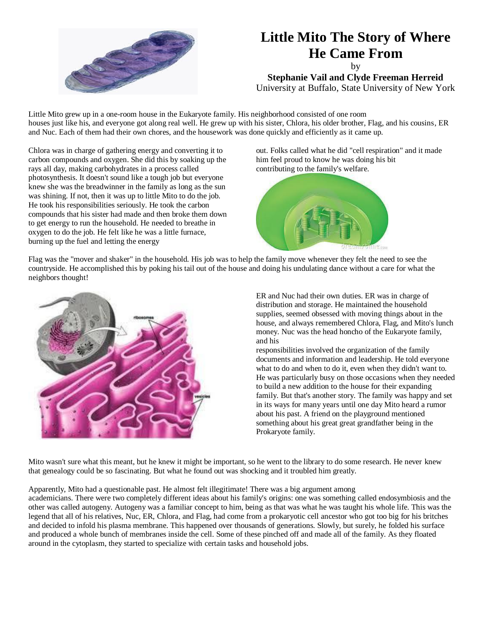

## **Little Mito The Story of Where He Came From**

by

**Stephanie Vail and Clyde Freeman Herreid**

University at Buffalo, State University of New York

Little Mito grew up in a one-room house in the Eukaryote family. His neighborhood consisted of one room houses just like his, and everyone got along real well. He grew up with his sister, Chlora, his older brother, Flag, and his cousins, ER and Nuc. Each of them had their own chores, and the housework was done quickly and efficiently as it came up.

Chlora was in charge of gathering energy and converting it to carbon compounds and oxygen. She did this by soaking up the rays all day, making carbohydrates in a process called photosynthesis. It doesn't sound like a tough job but everyone knew she was the breadwinner in the family as long as the sun was shining. If not, then it was up to little Mito to do the job. He took his responsibilities seriously. He took the carbon compounds that his sister had made and then broke them down to get energy to run the household. He needed to breathe in oxygen to do the job. He felt like he was a little furnace, burning up the fuel and letting the energy

out. Folks called what he did "cell respiration" and it made him feel proud to know he was doing his bit contributing to the family's welfare.



Flag was the "mover and shaker" in the household. His job was to help the family move whenever they felt the need to see the countryside. He accomplished this by poking his tail out of the house and doing his undulating dance without a care for what the neighbors thought!



ER and Nuc had their own duties. ER was in charge of distribution and storage. He maintained the household supplies, seemed obsessed with moving things about in the house, and always remembered Chlora, Flag, and Mito's lunch money. Nuc was the head honcho of the Eukaryote family, and his

responsibilities involved the organization of the family documents and information and leadership. He told everyone what to do and when to do it, even when they didn't want to. He was particularly busy on those occasions when they needed to build a new addition to the house for their expanding family. But that's another story. The family was happy and set in its ways for many years until one day Mito heard a rumor about his past. A friend on the playground mentioned something about his great great grandfather being in the Prokaryote family.

Mito wasn't sure what this meant, but he knew it might be important, so he went to the library to do some research. He never knew that genealogy could be so fascinating. But what he found out was shocking and it troubled him greatly.

## Apparently, Mito had a questionable past. He almost felt illegitimate! There was a big argument among

academicians. There were two completely different ideas about his family's origins: one was something called endosymbiosis and the other was called autogeny. Autogeny was a familiar concept to him, being as that was what he was taught his whole life. This was the legend that all of his relatives, Nuc, ER, Chlora, and Flag, had come from a prokaryotic cell ancestor who got too big for his britches and decided to infold his plasma membrane. This happened over thousands of generations. Slowly, but surely, he folded his surface and produced a whole bunch of membranes inside the cell. Some of these pinched off and made all of the family. As they floated around in the cytoplasm, they started to specialize with certain tasks and household jobs.